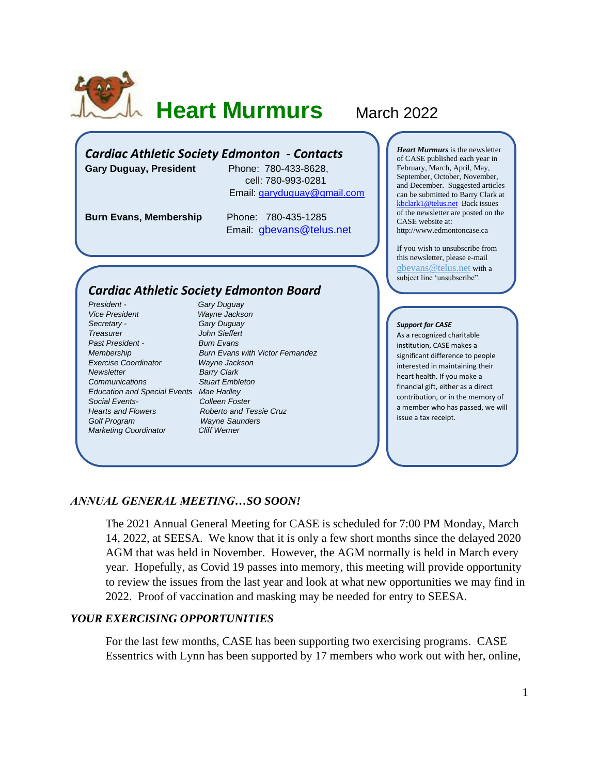

# **Heart Murmurs** March 2022

### *Cardiac Athletic Society Edmonton - Contacts*

**Gary Duguay, President** Phone: 780-433-8628,

 cell: 780-993-0281 Email: [garyduguay@gmail.com](mailto:garyduguay@gmail.com)

**Burn Evans, Membership** Phone: 780-435-1285

Email: [gbevans@telus.net](mailto:gbevans@telus.net)

## *Cardiac Athletic Society Edmonton Board*

*President - Gary Duguay Vice President Wayne Jackson Secretary - Gary Duguay Treasurer John Sieffert Past President - Burn Evans Exercise Coordinator Newsletter* Barry Clark *Communications Stuart Embleton Education and Special Events Mae Hadley Social Events- Colleen Foster Hearts and Flowers Roberto and Tessie Cruz Golf Program Wayne Saunders Marketing Coordinator Cliff Werner*

*Membership Burn Evans with Victor Fernandez*

*Heart Murmurs* is the newsletter of CASE published each year in February, March, April, May, September, October, November, and December. Suggested articles can be submitted to Barry Clark at [kbclark1@telus.net](mailto:kbclark1@telus.net) Back issues of the newsletter are posted on the CASE website at: [http://www.edmontoncase.ca](http://www.edmontoncase.ca/)

If you wish to unsubscribe from this newsletter, please e-mail [gbevans@telus.net](mailto:gbevans@telus.net) with a subject line 'unsubscribe".

#### *Support for CASE*

As a recognized charitable institution, CASE makes a significant difference to people interested in maintaining their heart health. If you make a financial gift, either as a direct contribution, or in the memory of a member who has passed, we will issue a tax receipt.

#### *ANNUAL GENERAL MEETING…SO SOON!*

The 2021 Annual General Meeting for CASE is scheduled for 7:00 PM Monday, March 14, 2022, at SEESA. We know that it is only a few short months since the delayed 2020 AGM that was held in November. However, the AGM normally is held in March every year. Hopefully, as Covid 19 passes into memory, this meeting will provide opportunity to review the issues from the last year and look at what new opportunities we may find in 2022. Proof of vaccination and masking may be needed for entry to SEESA.

#### *YOUR EXERCISING OPPORTUNITIES*

For the last few months, CASE has been supporting two exercising programs. CASE Essentrics with Lynn has been supported by 17 members who work out with her, online,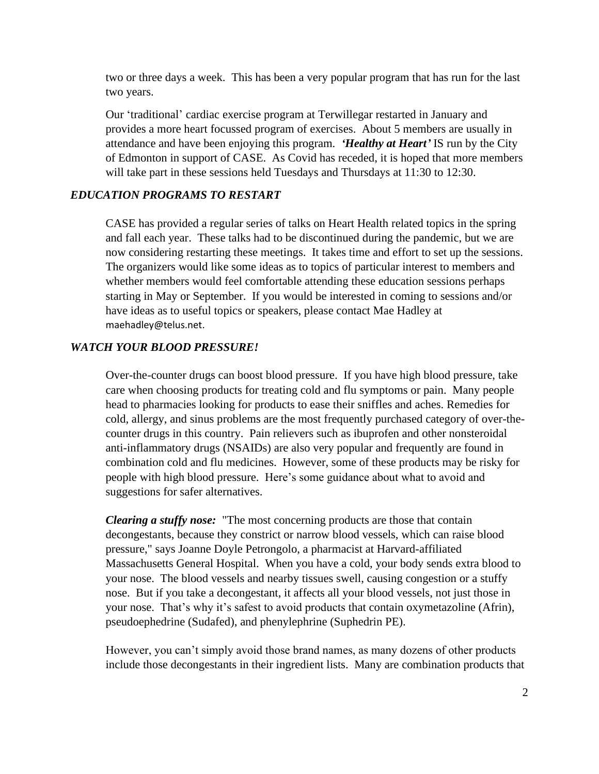two or three days a week. This has been a very popular program that has run for the last two years.

Our 'traditional' cardiac exercise program at Terwillegar restarted in January and provides a more heart focussed program of exercises. About 5 members are usually in attendance and have been enjoying this program. *'Healthy at Heart'* IS run by the City of Edmonton in support of CASE. As Covid has receded, it is hoped that more members will take part in these sessions held Tuesdays and Thursdays at 11:30 to 12:30.

#### *EDUCATION PROGRAMS TO RESTART*

CASE has provided a regular series of talks on Heart Health related topics in the spring and fall each year. These talks had to be discontinued during the pandemic, but we are now considering restarting these meetings. It takes time and effort to set up the sessions. The organizers would like some ideas as to topics of particular interest to members and whether members would feel comfortable attending these education sessions perhaps starting in May or September. If you would be interested in coming to sessions and/or have ideas as to useful topics or speakers, please contact Mae Hadley at [maehadley@telus.net.](mailto:maehadley@telus.net)

#### *WATCH YOUR BLOOD PRESSURE!*

Over-the-counter drugs can boost blood pressure. If you have high blood pressure, take care when choosing products for treating cold and flu symptoms or pain. Many people head to pharmacies looking for products to ease their sniffles and aches. Remedies for cold, allergy, and sinus problems are the most frequently purchased category of over-thecounter drugs in this country. Pain relievers such as ibuprofen and other nonsteroidal anti-inflammatory drugs (NSAIDs) are also very popular and frequently are found in combination cold and flu medicines. However, some of these products may be risky for people with high blood pressure. Here's some guidance about what to avoid and suggestions for safer alternatives.

*Clearing a stuffy nose:*"The most concerning products are those that contain decongestants, because they constrict or narrow blood vessels, which can raise blood pressure," says Joanne Doyle Petrongolo, a pharmacist at Harvard-affiliated Massachusetts General Hospital. When you have a cold, your body sends extra blood to your nose. The blood vessels and nearby tissues swell, causing congestion or a stuffy nose. But if you take a decongestant, it affects all your blood vessels, not just those in your nose. That's why it's safest to avoid products that contain oxymetazoline (Afrin), pseudoephedrine (Sudafed), and phenylephrine (Suphedrin PE).

However, you can't simply avoid those brand names, as many dozens of other products include those decongestants in their ingredient lists. Many are combination products that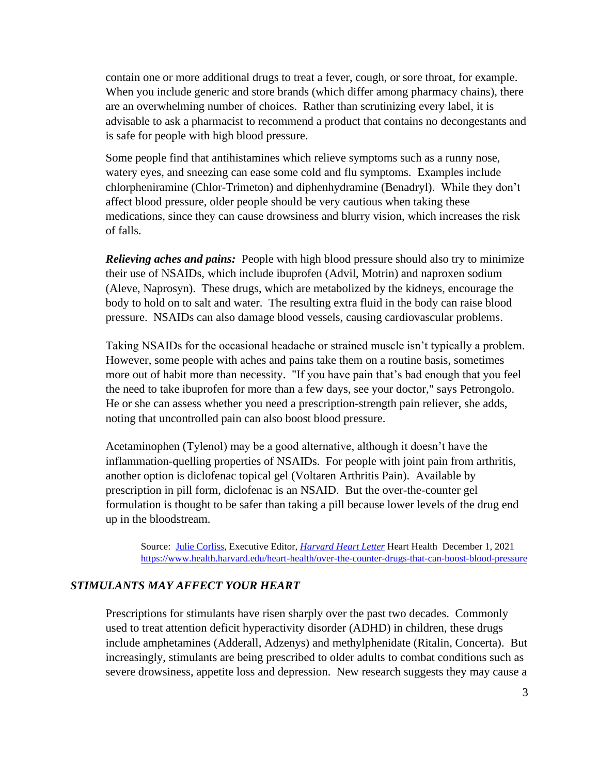contain one or more additional drugs to treat a fever, cough, or sore throat, for example. When you include generic and store brands (which differ among pharmacy chains), there are an overwhelming number of choices. Rather than scrutinizing every label, it is advisable to ask a pharmacist to recommend a product that contains no decongestants and is safe for people with high blood pressure.

Some people find that antihistamines which relieve symptoms such as a runny nose, watery eyes, and sneezing can ease some cold and flu symptoms. Examples include chlorpheniramine (Chlor-Trimeton) and diphenhydramine (Benadryl). While they don't affect blood pressure, older people should be very cautious when taking these medications, since they can cause drowsiness and blurry vision, which increases the risk of falls.

*Relieving aches and pains:* People with high blood pressure should also try to minimize their use of NSAIDs, which include ibuprofen (Advil, Motrin) and naproxen sodium (Aleve, Naprosyn). These drugs, which are metabolized by the kidneys, encourage the body to hold on to salt and water. The resulting extra fluid in the body can raise blood pressure. NSAIDs can also damage blood vessels, causing cardiovascular problems.

Taking NSAIDs for the occasional headache or strained muscle isn't typically a problem. However, some people with aches and pains take them on a routine basis, sometimes more out of habit more than necessity. "If you have pain that's bad enough that you feel the need to take ibuprofen for more than a few days, see your doctor," says Petrongolo. He or she can assess whether you need a prescription-strength pain reliever, she adds, noting that uncontrolled pain can also boost blood pressure.

Acetaminophen (Tylenol) may be a good alternative, although it doesn't have the inflammation-quelling properties of NSAIDs. For people with joint pain from arthritis, another option is diclofenac topical gel (Voltaren Arthritis Pain). Available by prescription in pill form, diclofenac is an NSAID. But the over-the-counter gel formulation is thought to be safer than taking a pill because lower levels of the drug end up in the bloodstream.

Source: Julie [Corliss,](https://www.health.harvard.edu/author/julie-corliss) Executive Editor, *[Harvard Heart Letter](http://www.health.harvard.edu/heart)* Heart Health December 1, 2021 <https://www.health.harvard.edu/heart-health/over-the-counter-drugs-that-can-boost-blood-pressure>

#### *STIMULANTS MAY AFFECT YOUR HEART*

Prescriptions for stimulants have risen sharply over the past two decades. Commonly used to treat attention deficit hyperactivity disorder (ADHD) in children, these drugs include amphetamines (Adderall, Adzenys) and methylphenidate (Ritalin, Concerta). But increasingly, stimulants are being prescribed to older adults to combat conditions such as severe drowsiness, appetite loss and depression. New research suggests they may cause a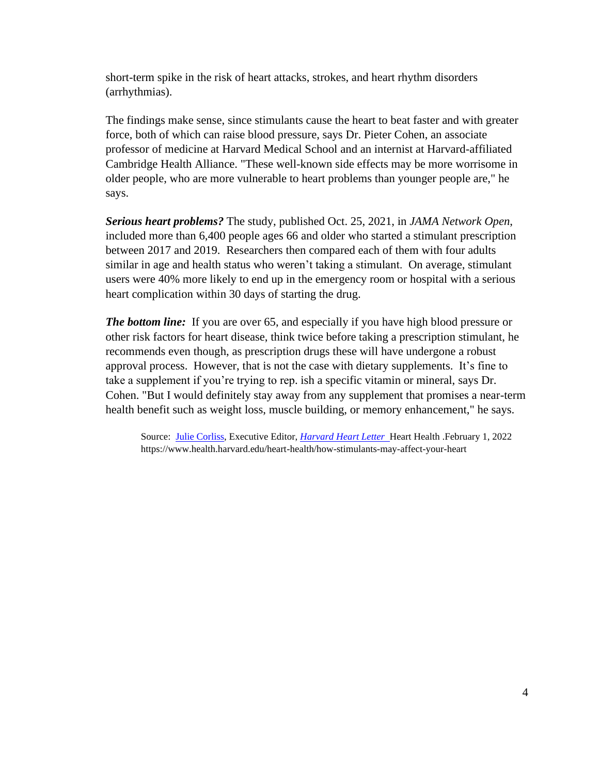short-term spike in the risk of heart attacks, strokes, and heart rhythm disorders (arrhythmias).

The findings make sense, since stimulants cause the heart to beat faster and with greater force, both of which can raise blood pressure, says Dr. Pieter Cohen, an associate professor of medicine at Harvard Medical School and an internist at Harvard-affiliated Cambridge Health Alliance. "These well-known side effects may be more worrisome in older people, who are more vulnerable to heart problems than younger people are," he says.

*Serious heart problems?* The study, published Oct. 25, 2021, in *JAMA Network Open*, included more than 6,400 people ages 66 and older who started a stimulant prescription between 2017 and 2019. Researchers then compared each of them with four adults similar in age and health status who weren't taking a stimulant. On average, stimulant users were 40% more likely to end up in the emergency room or hospital with a serious heart complication within 30 days of starting the drug.

*The bottom line:* If you are over 65, and especially if you have high blood pressure or other risk factors for heart disease, think twice before taking a prescription stimulant, he recommends even though, as prescription drugs these will have undergone a robust approval process. However, that is not the case with dietary supplements. It's fine to take a supplement if you're trying to rep. ish a specific vitamin or mineral, says Dr. Cohen. "But I would definitely stay away from any supplement that promises a near-term health benefit such as weight loss, muscle building, or memory enhancement," he says.

Source: [Julie Corliss,](https://www.health.harvard.edu/author/julie-corliss) Executive Editor, *[Harvard Heart Letter](http://www.health.harvard.edu/heart)* Heart Health .February 1, 2022 https://www.health.harvard.edu/heart-health/how-stimulants-may-affect-your-heart